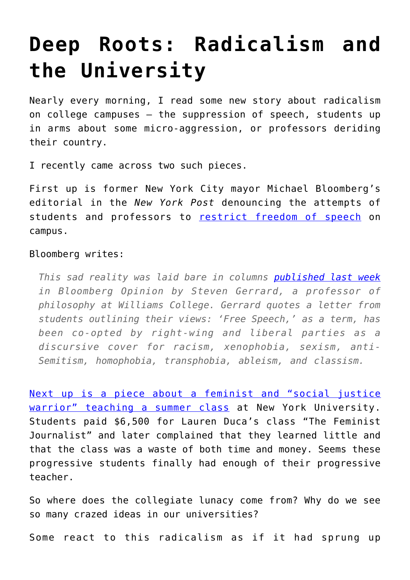## **[Deep Roots: Radicalism and](https://intellectualtakeout.org/2019/09/deep-roots-radicalism-and-the-university/) [the University](https://intellectualtakeout.org/2019/09/deep-roots-radicalism-and-the-university/)**

Nearly every morning, I read some new story about radicalism on college campuses – the suppression of speech, students up in arms about some micro-aggression, or professors deriding their country.

I recently came across two such pieces.

First up is former New York City mayor Michael Bloomberg's editorial in the *New York Post* denouncing the attempts of students and professors to [restrict freedom of speech](https://nypost.com/2019/09/15/rage-has-free-speech-under-siege-on-the-american-campus/) on campus.

## Bloomberg writes:

*This sad reality was laid bare in columns [published last week](https://www.bloomberg.com/opinion/articles/2019-09-09/free-speech-is-no-longer-safe-speech-at-today-s-elite-colleges) in Bloomberg Opinion by Steven Gerrard, a professor of philosophy at Williams College. Gerrard quotes a letter from students outlining their views: 'Free Speech,' as a term, has been co-opted by right-wing and liberal parties as a discursive cover for racism, xenophobia, sexism, anti-Semitism, homophobia, transphobia, ableism, and classism.*

[Next up is a piece about a feminist and "social justice](https://www.bloomberg.com/opinion/articles/2019-09-09/free-speech-is-no-longer-safe-speech-at-today-s-elite-colleges) [warrior"](https://www.bloomberg.com/opinion/articles/2019-09-09/free-speech-is-no-longer-safe-speech-at-today-s-elite-colleges) [teaching a summer class](https://hotair.com/archives/john-s-2/2019/09/17/feminist-author-taught-nyu-students-start-revolution-rebelled-class/) at New York University. Students paid \$6,500 for Lauren Duca's class "The Feminist Journalist" and later complained that they learned little and that the class was a waste of both time and money. Seems these progressive students finally had enough of their progressive teacher.

So where does the collegiate lunacy come from? Why do we see so many crazed ideas in our universities?

Some react to this radicalism as if it had sprung up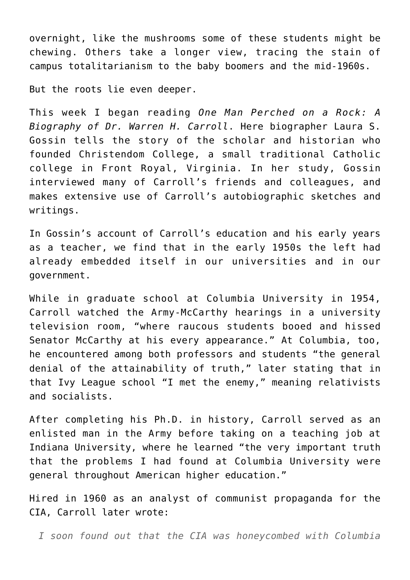overnight, like the mushrooms some of these students might be chewing. Others take a longer view, tracing the stain of campus totalitarianism to the baby boomers and the mid-1960s.

But the roots lie even deeper.

This week I began reading *One Man Perched on a Rock: A Biography of Dr. Warren H. Carroll*. Here biographer Laura S. Gossin tells the story of the scholar and historian who founded Christendom College, a small traditional Catholic college in Front Royal, Virginia. In her study, Gossin interviewed many of Carroll's friends and colleagues, and makes extensive use of Carroll's autobiographic sketches and writings.

In Gossin's account of Carroll's education and his early years as a teacher, we find that in the early 1950s the left had already embedded itself in our universities and in our government.

While in graduate school at Columbia University in 1954, Carroll watched the Army-McCarthy hearings in a university television room, "where raucous students booed and hissed Senator McCarthy at his every appearance." At Columbia, too, he encountered among both professors and students "the general denial of the attainability of truth," later stating that in that Ivy League school "I met the enemy," meaning relativists and socialists.

After completing his Ph.D. in history, Carroll served as an enlisted man in the Army before taking on a teaching job at Indiana University, where he learned "the very important truth that the problems I had found at Columbia University were general throughout American higher education."

Hired in 1960 as an analyst of communist propaganda for the CIA, Carroll later wrote:

*I soon found out that the CIA was honeycombed with Columbia*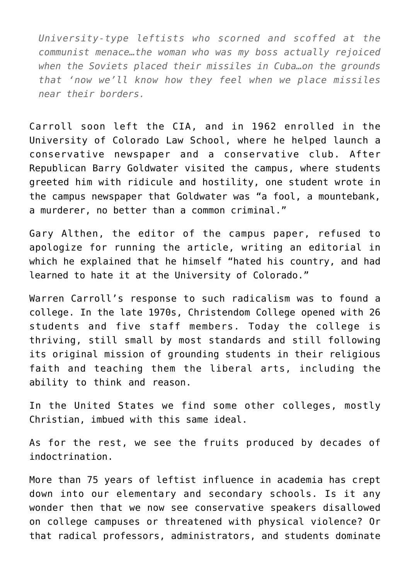*University-type leftists who scorned and scoffed at the communist menace…the woman who was my boss actually rejoiced when the Soviets placed their missiles in Cuba…on the grounds that 'now we'll know how they feel when we place missiles near their borders.*

Carroll soon left the CIA, and in 1962 enrolled in the University of Colorado Law School, where he helped launch a conservative newspaper and a conservative club. After Republican Barry Goldwater visited the campus, where students greeted him with ridicule and hostility, one student wrote in the campus newspaper that Goldwater was "a fool, a mountebank, a murderer, no better than a common criminal."

Gary Althen, the editor of the campus paper, refused to apologize for running the article, writing an editorial in which he explained that he himself "hated his country, and had learned to hate it at the University of Colorado."

Warren Carroll's response to such radicalism was to found a college. In the late 1970s, Christendom College opened with 26 students and five staff members. Today the college is thriving, still small by most standards and still following its original mission of grounding students in their religious faith and teaching them the liberal arts, including the ability to think and reason.

In the United States we find some other colleges, mostly Christian, imbued with this same ideal.

As for the rest, we see the fruits produced by decades of indoctrination.

More than 75 years of leftist influence in academia has crept down into our elementary and secondary schools. Is it any wonder then that we now see conservative speakers disallowed on college campuses or threatened with physical violence? Or that radical professors, administrators, and students dominate